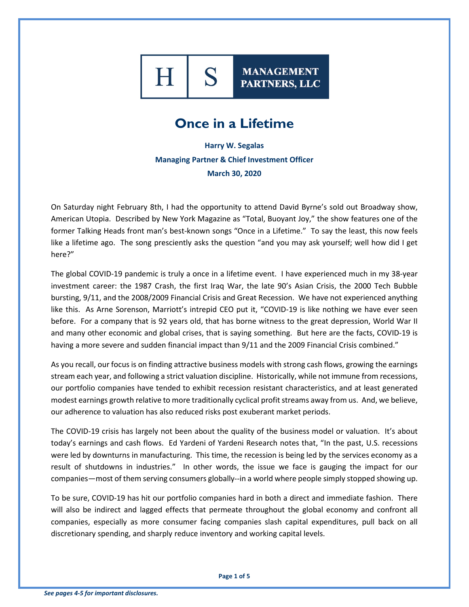

**MANAGEMENT** PARTNERS, LLC

## **Once in a Lifetime**

**Harry W. Segalas Managing Partner & Chief Investment Officer March 30, 2020**

On Saturday night February 8th, I had the opportunity to attend David Byrne's sold out Broadway show, American Utopia. Described by New York Magazine as "Total, Buoyant Joy," the show features one of the former Talking Heads front man's best-known songs "Once in a Lifetime." To say the least, this now feels like a lifetime ago. The song presciently asks the question "and you may ask yourself; well how did I get here?"

The global COVID-19 pandemic is truly a once in a lifetime event. I have experienced much in my 38-year investment career: the 1987 Crash, the first Iraq War, the late 90's Asian Crisis, the 2000 Tech Bubble bursting, 9/11, and the 2008/2009 Financial Crisis and Great Recession. We have not experienced anything like this. As Arne Sorenson, Marriott's intrepid CEO put it, "COVID-19 is like nothing we have ever seen before. For a company that is 92 years old, that has borne witness to the great depression, World War II and many other economic and global crises, that is saying something. But here are the facts, COVID-19 is having a more severe and sudden financial impact than 9/11 and the 2009 Financial Crisis combined."

As you recall, our focus is on finding attractive business models with strong cash flows, growing the earnings stream each year, and following a strict valuation discipline. Historically, while not immune from recessions, our portfolio companies have tended to exhibit recession resistant characteristics, and at least generated modest earnings growth relative to more traditionally cyclical profit streams away from us. And, we believe, our adherence to valuation has also reduced risks post exuberant market periods.

The COVID-19 crisis has largely not been about the quality of the business model or valuation. It's about today's earnings and cash flows. Ed Yardeni of Yardeni Research notes that, "In the past, U.S. recessions were led by downturns in manufacturing. This time, the recession is being led by the services economy as a result of shutdowns in industries." In other words, the issue we face is gauging the impact for our companies—most of them serving consumers globally--in a world where people simply stopped showing up.

To be sure, COVID-19 has hit our portfolio companies hard in both a direct and immediate fashion. There will also be indirect and lagged effects that permeate throughout the global economy and confront all companies, especially as more consumer facing companies slash capital expenditures, pull back on all discretionary spending, and sharply reduce inventory and working capital levels.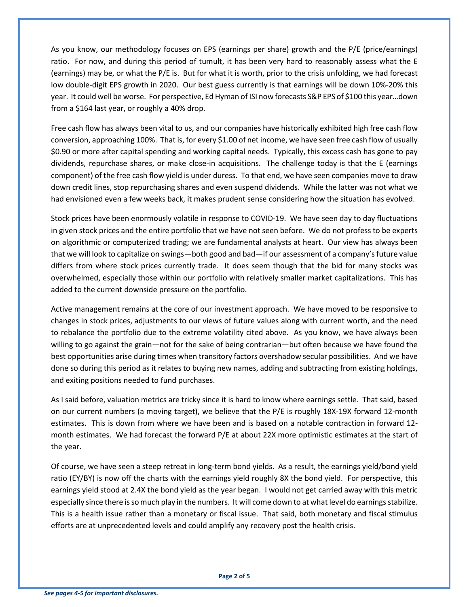As you know, our methodology focuses on EPS (earnings per share) growth and the P/E (price/earnings) ratio. For now, and during this period of tumult, it has been very hard to reasonably assess what the E (earnings) may be, or what the P/E is. But for what it is worth, prior to the crisis unfolding, we had forecast low double-digit EPS growth in 2020. Our best guess currently is that earnings will be down 10%-20% this year. It could well be worse. For perspective, Ed Hyman of ISI now forecasts S&P EPS of \$100 this year…down from a \$164 last year, or roughly a 40% drop.

Free cash flow has always been vital to us, and our companies have historically exhibited high free cash flow conversion, approaching 100%. That is, for every \$1.00 of net income, we have seen free cash flow of usually \$0.90 or more after capital spending and working capital needs. Typically, this excess cash has gone to pay dividends, repurchase shares, or make close-in acquisitions. The challenge today is that the E (earnings component) of the free cash flow yield is under duress. To that end, we have seen companies move to draw down credit lines, stop repurchasing shares and even suspend dividends. While the latter was not what we had envisioned even a few weeks back, it makes prudent sense considering how the situation has evolved.

Stock prices have been enormously volatile in response to COVID-19. We have seen day to day fluctuations in given stock prices and the entire portfolio that we have not seen before. We do not profess to be experts on algorithmic or computerized trading; we are fundamental analysts at heart. Our view has always been that we will look to capitalize on swings—both good and bad—if our assessment of a company's future value differs from where stock prices currently trade. It does seem though that the bid for many stocks was overwhelmed, especially those within our portfolio with relatively smaller market capitalizations. This has added to the current downside pressure on the portfolio.

Active management remains at the core of our investment approach. We have moved to be responsive to changes in stock prices, adjustments to our views of future values along with current worth, and the need to rebalance the portfolio due to the extreme volatility cited above. As you know, we have always been willing to go against the grain—not for the sake of being contrarian—but often because we have found the best opportunities arise during times when transitory factors overshadow secular possibilities. And we have done so during this period as it relates to buying new names, adding and subtracting from existing holdings, and exiting positions needed to fund purchases.

As I said before, valuation metrics are tricky since it is hard to know where earnings settle. That said, based on our current numbers (a moving target), we believe that the P/E is roughly 18X-19X forward 12-month estimates. This is down from where we have been and is based on a notable contraction in forward 12 month estimates. We had forecast the forward P/E at about 22X more optimistic estimates at the start of the year.

Of course, we have seen a steep retreat in long-term bond yields. As a result, the earnings yield/bond yield ratio (EY/BY) is now off the charts with the earnings yield roughly 8X the bond yield. For perspective, this earnings yield stood at 2.4X the bond yield as the year began. I would not get carried away with this metric especially since there is so much play in the numbers. It will come down to at what level do earnings stabilize. This is a health issue rather than a monetary or fiscal issue. That said, both monetary and fiscal stimulus efforts are at unprecedented levels and could amplify any recovery post the health crisis.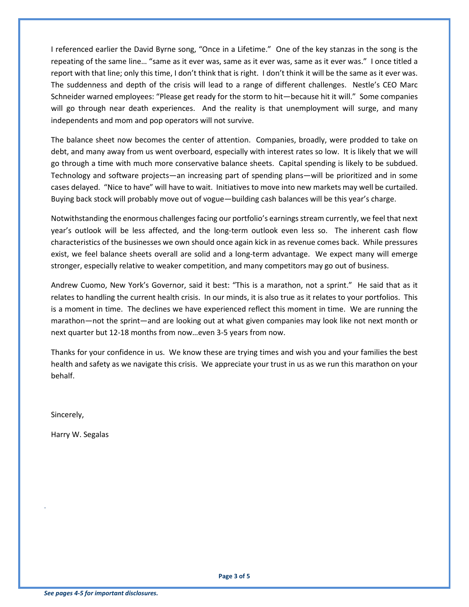I referenced earlier the David Byrne song, "Once in a Lifetime." One of the key stanzas in the song is the repeating of the same line… "same as it ever was, same as it ever was, same as it ever was." I once titled a report with that line; only this time, I don't think that is right. I don't think it will be the same as it ever was. The suddenness and depth of the crisis will lead to a range of different challenges. Nestle's CEO Marc Schneider warned employees: "Please get ready for the storm to hit—because hit it will." Some companies will go through near death experiences. And the reality is that unemployment will surge, and many independents and mom and pop operators will not survive.

The balance sheet now becomes the center of attention. Companies, broadly, were prodded to take on debt, and many away from us went overboard, especially with interest rates so low. It is likely that we will go through a time with much more conservative balance sheets. Capital spending is likely to be subdued. Technology and software projects—an increasing part of spending plans—will be prioritized and in some cases delayed. "Nice to have" will have to wait. Initiatives to move into new markets may well be curtailed. Buying back stock will probably move out of vogue—building cash balances will be this year's charge.

Notwithstanding the enormous challenges facing our portfolio's earnings stream currently, we feel that next year's outlook will be less affected, and the long-term outlook even less so. The inherent cash flow characteristics of the businesses we own should once again kick in as revenue comes back. While pressures exist, we feel balance sheets overall are solid and a long-term advantage. We expect many will emerge stronger, especially relative to weaker competition, and many competitors may go out of business.

Andrew Cuomo, New York's Governor, said it best: "This is a marathon, not a sprint." He said that as it relates to handling the current health crisis. In our minds, it is also true as it relates to your portfolios. This is a moment in time. The declines we have experienced reflect this moment in time. We are running the marathon—not the sprint—and are looking out at what given companies may look like not next month or next quarter but 12-18 months from now…even 3-5 years from now.

Thanks for your confidence in us. We know these are trying times and wish you and your families the best health and safety as we navigate this crisis. We appreciate your trust in us as we run this marathon on your behalf.

Sincerely,

.

Harry W. Segalas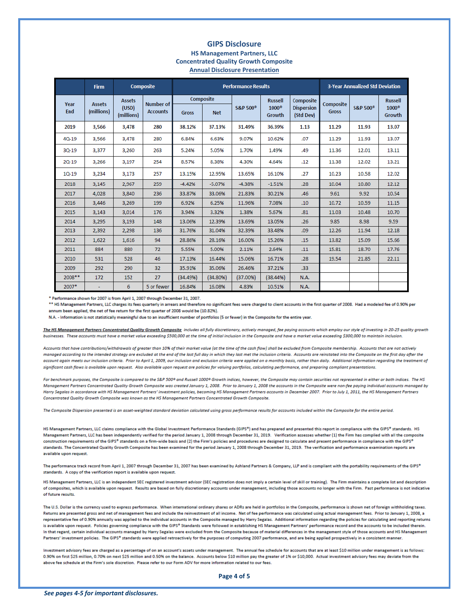## **GIPS Disclosure HS Management Partners, LLC Concentrated Quality Growth Composite Annual Disclosure Presentation**

|             | <b>Firm</b>                 | <b>Composite</b>                     |                              | <b>Performance Results</b> |            |                      |                        |                                | <b>3-Year Annualized Std Deviation</b> |                      |                        |
|-------------|-----------------------------|--------------------------------------|------------------------------|----------------------------|------------|----------------------|------------------------|--------------------------------|----------------------------------------|----------------------|------------------------|
| Year<br>End | <b>Assets</b><br>(millions) | <b>Assets</b><br>(USD)<br>(millions) | Number of<br><b>Accounts</b> | Composite                  |            |                      | <b>Russell</b>         | Composite                      | Composite                              |                      | <b>Russell</b>         |
|             |                             |                                      |                              | <b>Gross</b>               | <b>Net</b> | S&P 500 <sup>°</sup> | $1000^\circ$<br>Growth | <b>Dispersion</b><br>(Std Dev) | <b>Gross</b>                           | S&P 500 <sup>®</sup> | $1000^\circ$<br>Growth |
| 2019        | 3,566                       | 3,478                                | 280                          | 38.12%                     | 37.13%     | 31.49%               | 36.39%                 | 1.13                           | 11.29                                  | 11.93                | 13.07                  |
| $40 - 19$   | 3,566                       | 3,478                                | 280                          | 6.84%                      | 6.63%      | 9.07%                | 10.62%                 | .07                            | 11.29                                  | 11.93                | 13.07                  |
| $30 - 19$   | 3,377                       | 3.260                                | 263                          | 5.24%                      | 5.05%      | 1.70%                | 1.49%                  | .49                            | 11.36                                  | 12.01                | 13.11                  |
| $20 - 19$   | 3.266                       | 3.197                                | 254                          | 8.57%                      | 8.38%      | 4.30%                | 4.64%                  | .12                            | 11.38                                  | 12.02                | 13.21                  |
| $10 - 19$   | 3,234                       | 3,173                                | 257                          | 13.15%                     | 12.95%     | 13.65%               | 16.10%                 | .27                            | 10.23                                  | 10.58                | 12.02                  |
| 2018        | 3,145                       | 2,967                                | 259                          | $-4.42%$                   | $-5.07%$   | $-4.38%$             | $-1.51%$               | .28                            | 10.04                                  | 10.80                | 12.12                  |
| 2017        | 4,028                       | 3,840                                | 236                          | 33.87%                     | 33.06%     | 21.83%               | 30.21%                 | .46                            | 9.61                                   | 9.92                 | 10.54                  |
| 2016        | 3,446                       | 3,269                                | 199                          | 6.92%                      | 6.25%      | 11.96%               | 7.08%                  | .10                            | 10.72                                  | 10.59                | 11.15                  |
| 2015        | 3,143                       | 3,014                                | 176                          | 3.94%                      | 3.32%      | 1.38%                | 5.67%                  | .81                            | 11.03                                  | 10.48                | 10.70                  |
| 2014        | 3,295                       | 3,193                                | 148                          | 13.06%                     | 12.39%     | 13.69%               | 13.05%                 | .26                            | 9.85                                   | 8.98                 | 9.59                   |
| 2013        | 2.392                       | 2.298                                | 136                          | 31.76%                     | 31.04%     | 32.39%               | 33.48%                 | .09                            | 12.26                                  | 11.94                | 12.18                  |
| 2012        | 1.622                       | 1.616                                | 94                           | 28.86%                     | 28.16%     | 16.00%               | 15.26%                 | .15                            | 13.82                                  | 15.09                | 15.66                  |
| 2011        | 884                         | 880                                  | 72                           | 5.55%                      | 5.00%      | 2.11%                | 2.64%                  | .11                            | 15.81                                  | 18.70                | 17.76                  |
| 2010        | 531                         | 528                                  | 46                           | 17.13%                     | 16,44%     | 15.06%               | 16.71%                 | .28                            | 19.54                                  | 21.85                | 22.11                  |
| 2009        | 292                         | 290                                  | 32                           | 35.91%                     | 35.06%     | 26,46%               | 37.21%                 | .33 <sub>0</sub>               |                                        |                      |                        |
| 2008 **     | 172                         | 152                                  | 27                           | (34.49%)                   | (34.80%)   | (37.00%              | (38.44%)               | <b>N.A.</b>                    |                                        |                      |                        |
| 2007*       |                             | 6                                    | 5 or fewer                   | 16.84%                     | 16.08%     | 4.83%                | 10.51%                 | <b>N.A.</b>                    |                                        |                      |                        |

\* Performance shown for 2007 is from April 1, 2007 through December 31, 2007.

\*\* HS Management Partners, LLC charges its fees quarterly in arrears and therefore no significant fees were charged to client accounts in the first quarter of 2008. Had a modeled fee of 0.90% per annum been applied, the net of fee return for the first quarter of 2008 would be (10.82%).

N.A. - Information is not statistically meaningful due to an insufficient number of portfolios (5 or fewer) in the Composite for the entire year.

The HS Management Partners Concentrated Quality Growth Composite includes all fully discretionary, actively managed, fee paying accounts which employ our style of investing in 20-25 quality growth businesses. These accounts must have a market value exceeding \$500,000 at the time of initial inclusion in the Composite and have a market value exceeding \$300,000 to maintain inclusion.

Accounts that have contributions/withdrawals of greater than 10% of their market value (at the time of the cash flow) shall be excluded from Composite membership. Accounts that are not actively managed according to the intended strategy are excluded at the end of the last full day in which they last met the inclusion criteria. Accounts are reinstated into the Composite on the first day after the account again meets our inclusion criteria. Prior to April 1, 2009, our inclusion and exclusion criteria were applied on a monthly basis, rather than daily. Additional information regarding the treatment of significant cash flows is available upon request. Also available upon request are policies for valuing portfolios, calculating performance, and preparing compliant presentations.

For benchmark purposes, the Composite is compared to the S&P 500® and Russell 1000® Growth indices, however, the Composite may contain securities not represented in either or both indices. The HS Management Partners Concentrated Quality Growth Composite was created January 1, 2008. Prior to January 1, 2008 the accounts in the Composite were non-fee paying individual accounts managed by Harry Segalas in accordance with HS Management Partners' investment policies, becoming HS Management Partners accounts in December 2007. Prior to July 1, 2011, the HS Management Partners Concentrated Quality Growth Composite was known as the HS Management Partners Concentrated Growth Composite.

The Composite Dispersion presented is an asset-weighted standard deviation calculated using gross performance results for accounts included within the Composite for the entire period.

HS Management Partners, LLC claims compliance with the Global Investment Performance Standards (GIPS®) and has prepared and presented this report in compliance with the GIPS® standards. HS Management Partners, LLC has been independently verified for the period January 1, 2008 through December 31, 2019. Verification assesses whether (1) the Firm has complied with all the composite construction requirements of the GIPS® standards on a firm-wide basis and (2) the Firm's policies and procedures are designed to calculate and present performance in compliance with the GIPS® standards. The Concentrated Quality Growth Composite has been examined for the period January 1, 2008 through December 31, 2019. The verification and performance examination reports are available upon request.

The performance track record from April 1, 2007 through December 31, 2007 has been examined by Ashland Partners & Company, LLP and is compliant with the portability requirements of the GIPS® standards. A copy of the verification report is available upon request.

HS Management Partners, LLC is an independent SEC registered investment advisor (SEC registration does not imply a certain level of skill or training). The Firm maintains a complete list and description of composites, which is available upon request. Results are based on fully discretionary accounts under management, including those accounts no longer with the Firm. Past performance is not indicative of future results.

The U.S. Dollar is the currency used to express performance. When international ordinary shares or ADRs are held in portfolios in the Composite, performance is shown net of foreign withholding taxes. Returns are presented gross and net of management fees and include the reinvestment of all income. Net of fee performance was calculated using actual management fees. Prior to January 1, 2008, a representative fee of 0.90% annually was applied to the individual accounts in the Composite managed by Harry Segalas. Additional information regarding the policies for calculating and reporting returns is available upon request. Policies governing compliance with the GIPS® Standards were followed in establishing HS Management Partners' performance record and the accounts to be included therein. In that regard, certain individual accounts managed by Harry Segalas were excluded from the Composite because of material differences in the management style of those accounts and HS Management Partners' investment policies. The GIPS® standards were applied retroactively for the purposes of computing 2007 performance, and are being applied prospectively in a consistent manner.

Investment advisory fees are charged as a percentage of on an account's assets under management. The annual fee schedule for accounts that are at least \$10 million under management is as follows: 0.90% on first \$25 million, 0.70% on next \$25 million and 0.50% on the balance. Accounts below \$10 million pay the greater of 1% or \$10,000. Actual investment advisory fees may deviate from the above fee schedule at the Firm's sole discretion. Please refer to our Form ADV for more information related to our fees.

Page 4 of 5